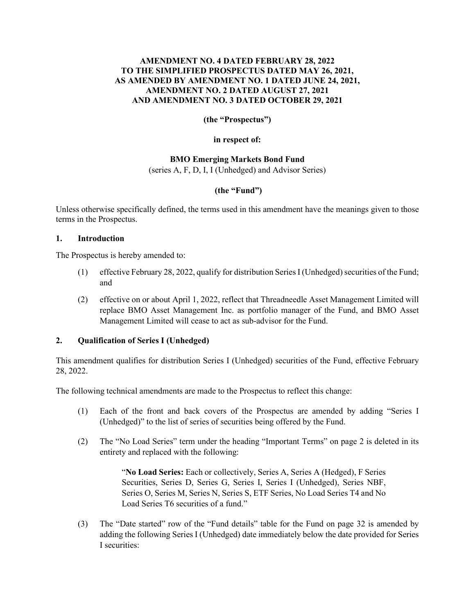# **AMENDMENT NO. 4 DATED FEBRUARY 28, 2022 TO THE SIMPLIFIED PROSPECTUS DATED MAY 26, 2021, AS AMENDED BY AMENDMENT NO. 1 DATED JUNE 24, 2021, AMENDMENT NO. 2 DATED AUGUST 27, 2021 AND AMENDMENT NO. 3 DATED OCTOBER 29, 2021**

**(the "Prospectus")**

**in respect of:**

# **BMO Emerging Markets Bond Fund**

(series A, F, D, I, I (Unhedged) and Advisor Series)

# **(the "Fund")**

Unless otherwise specifically defined, the terms used in this amendment have the meanings given to those terms in the Prospectus.

### **1. Introduction**

The Prospectus is hereby amended to:

- (1) effective February 28, 2022, qualify for distribution SeriesI (Unhedged)securities of the Fund; and
- (2) effective on or about April 1, 2022, reflect that Threadneedle Asset Management Limited will replace BMO Asset Management Inc. as portfolio manager of the Fund, and BMO Asset Management Limited will cease to act as sub-advisor for the Fund.

### **2. Qualification of Series I (Unhedged)**

This amendment qualifies for distribution Series I (Unhedged) securities of the Fund, effective February 28, 2022.

The following technical amendments are made to the Prospectus to reflect this change:

- (1) Each of the front and back covers of the Prospectus are amended by adding "Series I (Unhedged)" to the list of series of securities being offered by the Fund.
- (2) The "No Load Series" term under the heading "Important Terms" on page 2 is deleted in its entirety and replaced with the following:

"**No Load Series:** Each or collectively, Series A, Series A (Hedged), F Series Securities, Series D, Series G, Series I, Series I (Unhedged), Series NBF, Series O, Series M, Series N, Series S, ETF Series, No Load Series T4 and No Load Series T6 securities of a fund."

(3) The "Date started" row of the "Fund details" table for the Fund on page 32 is amended by adding the following Series I (Unhedged) date immediately below the date provided for Series I securities: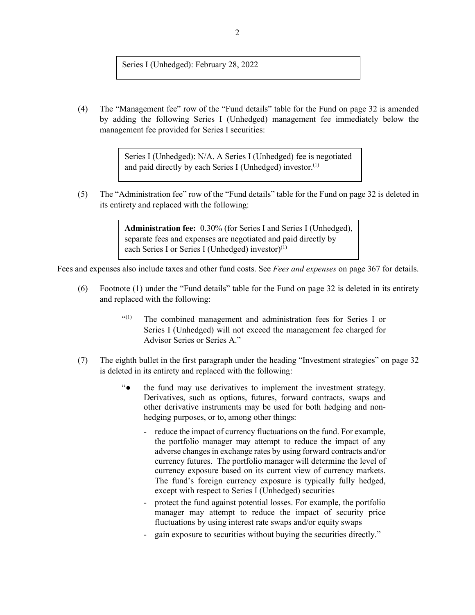Series I (Unhedged): February 28, 2022

(4) The "Management fee" row of the "Fund details" table for the Fund on page 32 is amended by adding the following Series I (Unhedged) management fee immediately below the management fee provided for Series I securities:

> Series I (Unhedged): N/A. A Series I (Unhedged) fee is negotiated and paid directly by each Series I (Unhedged) investor.<sup>(1)</sup>

(5) The "Administration fee" row of the "Fund details" table for the Fund on page 32 is deleted in its entirety and replaced with the following:

> **Administration fee:** 0.30% (for Series I and Series I (Unhedged), separate fees and expenses are negotiated and paid directly by each Series I or Series I (Unhedged) investor)<sup>(1)</sup>

Fees and expenses also include taxes and other fund costs. See *Fees and expenses* on page 367 for details.

- (6) Footnote (1) under the "Fund details" table for the Fund on page 32 is deleted in its entirety and replaced with the following:
	- "(1) The combined management and administration fees for Series I or Series I (Unhedged) will not exceed the management fee charged for Advisor Series or Series A."
- (7) The eighth bullet in the first paragraph under the heading "Investment strategies" on page 32 is deleted in its entirety and replaced with the following:
	- "● the fund may use derivatives to implement the investment strategy. Derivatives, such as options, futures, forward contracts, swaps and other derivative instruments may be used for both hedging and nonhedging purposes, or to, among other things:
		- reduce the impact of currency fluctuations on the fund. For example, the portfolio manager may attempt to reduce the impact of any adverse changes in exchange rates by using forward contracts and/or currency futures. The portfolio manager will determine the level of currency exposure based on its current view of currency markets. The fund's foreign currency exposure is typically fully hedged, except with respect to Series I (Unhedged) securities
		- protect the fund against potential losses. For example, the portfolio manager may attempt to reduce the impact of security price fluctuations by using interest rate swaps and/or equity swaps
		- gain exposure to securities without buying the securities directly."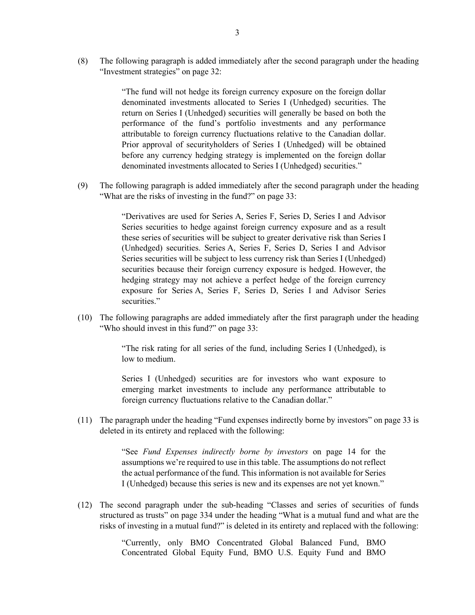(8) The following paragraph is added immediately after the second paragraph under the heading "Investment strategies" on page 32:

> "The fund will not hedge its foreign currency exposure on the foreign dollar denominated investments allocated to Series I (Unhedged) securities. The return on Series I (Unhedged) securities will generally be based on both the performance of the fund's portfolio investments and any performance attributable to foreign currency fluctuations relative to the Canadian dollar. Prior approval of securityholders of Series I (Unhedged) will be obtained before any currency hedging strategy is implemented on the foreign dollar denominated investments allocated to Series I (Unhedged) securities."

(9) The following paragraph is added immediately after the second paragraph under the heading "What are the risks of investing in the fund?" on page 33:

> "Derivatives are used for Series A, Series F, Series D, Series I and Advisor Series securities to hedge against foreign currency exposure and as a result these series of securities will be subject to greater derivative risk than Series I (Unhedged) securities. Series A, Series F, Series D, Series I and Advisor Series securities will be subject to less currency risk than Series I (Unhedged) securities because their foreign currency exposure is hedged. However, the hedging strategy may not achieve a perfect hedge of the foreign currency exposure for Series A, Series F, Series D, Series I and Advisor Series securities."

(10) The following paragraphs are added immediately after the first paragraph under the heading "Who should invest in this fund?" on page 33:

> "The risk rating for all series of the fund, including Series I (Unhedged), is low to medium.

> Series I (Unhedged) securities are for investors who want exposure to emerging market investments to include any performance attributable to foreign currency fluctuations relative to the Canadian dollar."

(11) The paragraph under the heading "Fund expenses indirectly borne by investors" on page 33 is deleted in its entirety and replaced with the following:

> "See *Fund Expenses indirectly borne by investors* on page 14 for the assumptions we're required to use in this table. The assumptions do not reflect the actual performance of the fund. This information is not available for Series I (Unhedged) because this series is new and its expenses are not yet known."

(12) The second paragraph under the sub-heading "Classes and series of securities of funds structured as trusts" on page 334 under the heading "What is a mutual fund and what are the risks of investing in a mutual fund?" is deleted in its entirety and replaced with the following:

> "Currently, only BMO Concentrated Global Balanced Fund, BMO Concentrated Global Equity Fund, BMO U.S. Equity Fund and BMO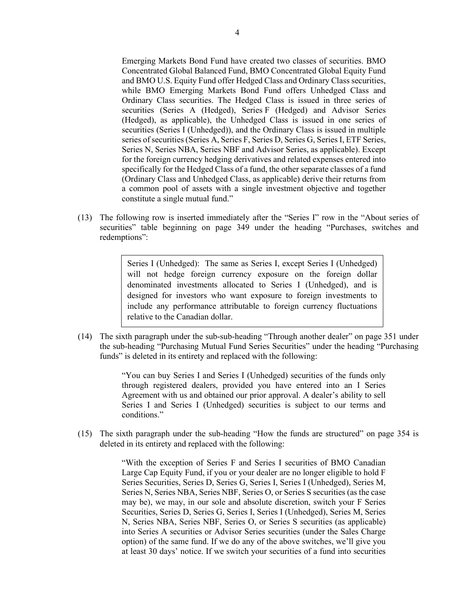Emerging Markets Bond Fund have created two classes of securities. BMO Concentrated Global Balanced Fund, BMO Concentrated Global Equity Fund and BMO U.S. Equity Fund offer Hedged Class and Ordinary Class securities, while BMO Emerging Markets Bond Fund offers Unhedged Class and Ordinary Class securities. The Hedged Class is issued in three series of securities (Series A (Hedged), Series F (Hedged) and Advisor Series (Hedged), as applicable), the Unhedged Class is issued in one series of securities (Series I (Unhedged)), and the Ordinary Class is issued in multiple series of securities (Series A, Series F, Series D, Series G, Series I, ETF Series, Series N, Series NBA, Series NBF and Advisor Series, as applicable). Except for the foreign currency hedging derivatives and related expenses entered into specifically for the Hedged Class of a fund, the other separate classes of a fund (Ordinary Class and Unhedged Class, as applicable) derive their returns from a common pool of assets with a single investment objective and together constitute a single mutual fund."

(13) The following row is inserted immediately after the "Series I" row in the "About series of securities" table beginning on page 349 under the heading "Purchases, switches and redemptions":

> Series I (Unhedged): The same as Series I, except Series I (Unhedged) will not hedge foreign currency exposure on the foreign dollar denominated investments allocated to Series I (Unhedged), and is designed for investors who want exposure to foreign investments to include any performance attributable to foreign currency fluctuations relative to the Canadian dollar.

(14) The sixth paragraph under the sub-sub-heading "Through another dealer" on page 351 under the sub-heading "Purchasing Mutual Fund Series Securities" under the heading "Purchasing funds" is deleted in its entirety and replaced with the following:

> "You can buy Series I and Series I (Unhedged) securities of the funds only through registered dealers, provided you have entered into an I Series Agreement with us and obtained our prior approval. A dealer's ability to sell Series I and Series I (Unhedged) securities is subject to our terms and conditions."

(15) The sixth paragraph under the sub-heading "How the funds are structured" on page 354 is deleted in its entirety and replaced with the following:

> "With the exception of Series F and Series I securities of BMO Canadian Large Cap Equity Fund, if you or your dealer are no longer eligible to hold F Series Securities, Series D, Series G, Series I, Series I (Unhedged), Series M, Series N, Series NBA, Series NBF, Series O, or Series S securities (as the case may be), we may, in our sole and absolute discretion, switch your F Series Securities, Series D, Series G, Series I, Series I (Unhedged), Series M, Series N, Series NBA, Series NBF, Series O, or Series S securities (as applicable) into Series A securities or Advisor Series securities (under the Sales Charge option) of the same fund. If we do any of the above switches, we'll give you at least 30 days' notice. If we switch your securities of a fund into securities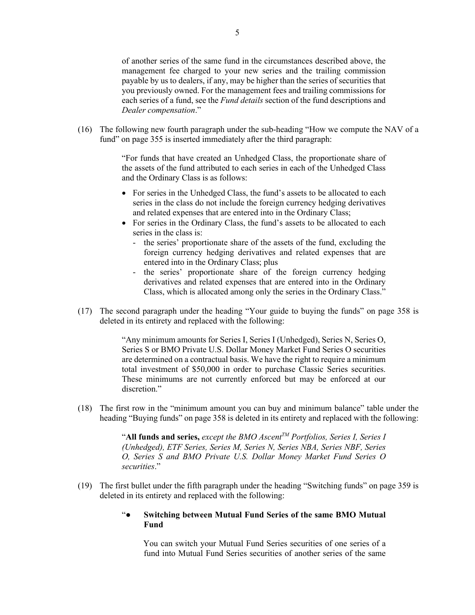of another series of the same fund in the circumstances described above, the management fee charged to your new series and the trailing commission payable by us to dealers, if any, may be higher than the series of securities that you previously owned. For the management fees and trailing commissions for each series of a fund, see the *Fund details* section of the fund descriptions and *Dealer compensation*."

(16) The following new fourth paragraph under the sub-heading "How we compute the NAV of a fund" on page 355 is inserted immediately after the third paragraph:

> "For funds that have created an Unhedged Class, the proportionate share of the assets of the fund attributed to each series in each of the Unhedged Class and the Ordinary Class is as follows:

- For series in the Unhedged Class, the fund's assets to be allocated to each series in the class do not include the foreign currency hedging derivatives and related expenses that are entered into in the Ordinary Class;
- For series in the Ordinary Class, the fund's assets to be allocated to each series in the class is:
	- the series' proportionate share of the assets of the fund, excluding the foreign currency hedging derivatives and related expenses that are entered into in the Ordinary Class; plus
	- the series' proportionate share of the foreign currency hedging derivatives and related expenses that are entered into in the Ordinary Class, which is allocated among only the series in the Ordinary Class."
- (17) The second paragraph under the heading "Your guide to buying the funds" on page 358 is deleted in its entirety and replaced with the following:

"Any minimum amounts for Series I, Series I (Unhedged), Series N, Series O, Series S or BMO Private U.S. Dollar Money Market Fund Series O securities are determined on a contractual basis. We have the right to require a minimum total investment of \$50,000 in order to purchase Classic Series securities. These minimums are not currently enforced but may be enforced at our discretion."

(18) The first row in the "minimum amount you can buy and minimum balance" table under the heading "Buying funds" on page 358 is deleted in its entirety and replaced with the following:

> "**All funds and series,** *except the BMO AscentTM Portfolios, Series I, Series I (Unhedged), ETF Series, Series M, Series N, Series NBA, Series NBF, Series O, Series S and BMO Private U.S. Dollar Money Market Fund Series O securities*."

(19) The first bullet under the fifth paragraph under the heading "Switching funds" on page 359 is deleted in its entirety and replaced with the following:

### "● **Switching between Mutual Fund Series of the same BMO Mutual Fund**

You can switch your Mutual Fund Series securities of one series of a fund into Mutual Fund Series securities of another series of the same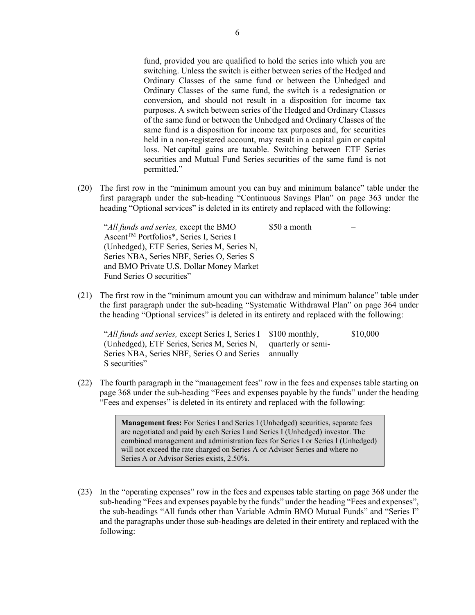fund, provided you are qualified to hold the series into which you are switching. Unless the switch is either between series of the Hedged and Ordinary Classes of the same fund or between the Unhedged and Ordinary Classes of the same fund, the switch is a redesignation or conversion, and should not result in a disposition for income tax purposes. A switch between series of the Hedged and Ordinary Classes of the same fund or between the Unhedged and Ordinary Classes of the same fund is a disposition for income tax purposes and, for securities held in a non-registered account, may result in a capital gain or capital loss. Net capital gains are taxable. Switching between ETF Series securities and Mutual Fund Series securities of the same fund is not permitted."

(20) The first row in the "minimum amount you can buy and minimum balance" table under the first paragraph under the sub-heading "Continuous Savings Plan" on page 363 under the heading "Optional services" is deleted in its entirety and replaced with the following:

"*All funds and series,* except the BMO Ascent<sup>™</sup> Portfolios\*, Series I, Series I (Unhedged), ETF Series, Series M, Series N, Series NBA, Series NBF, Series O, Series S and BMO Private U.S. Dollar Money Market Fund Series O securities" \$50 a month

(21) The first row in the "minimum amount you can withdraw and minimum balance" table under the first paragraph under the sub-heading "Systematic Withdrawal Plan" on page 364 under the heading "Optional services" is deleted in its entirety and replaced with the following:

| "All funds and series, except Series I, Series I \$100 monthly, | \$10,000 |
|-----------------------------------------------------------------|----------|
| (Unhedged), ETF Series, Series M, Series N, quarterly or semi-  |          |
| Series NBA, Series NBF, Series O and Series annually            |          |
| S securities"                                                   |          |

(22) The fourth paragraph in the "management fees" row in the fees and expenses table starting on page 368 under the sub-heading "Fees and expenses payable by the funds" under the heading "Fees and expenses" is deleted in its entirety and replaced with the following:

> **Management fees:** For Series I and Series I (Unhedged) securities, separate fees are negotiated and paid by each Series I and Series I (Unhedged) investor. The combined management and administration fees for Series I or Series I (Unhedged) will not exceed the rate charged on Series A or Advisor Series and where no Series A or Advisor Series exists, 2.50%.

(23) In the "operating expenses" row in the fees and expenses table starting on page 368 under the sub-heading "Fees and expenses payable by the funds" under the heading "Fees and expenses", the sub-headings "All funds other than Variable Admin BMO Mutual Funds" and "Series I" and the paragraphs under those sub-headings are deleted in their entirety and replaced with the following: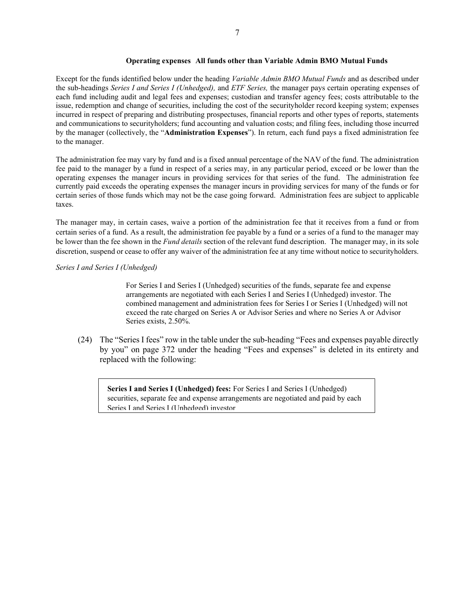#### **Operating expenses All funds other than Variable Admin BMO Mutual Funds**

Except for the funds identified below under the heading *Variable Admin BMO Mutual Funds* and as described under the sub-headings *Series I and Series I (Unhedged),* and *ETF Series,* the manager pays certain operating expenses of each fund including audit and legal fees and expenses; custodian and transfer agency fees; costs attributable to the issue, redemption and change of securities, including the cost of the securityholder record keeping system; expenses incurred in respect of preparing and distributing prospectuses, financial reports and other types of reports, statements and communications to securityholders; fund accounting and valuation costs; and filing fees, including those incurred by the manager (collectively, the "**Administration Expenses**"). In return, each fund pays a fixed administration fee to the manager.

The administration fee may vary by fund and is a fixed annual percentage of the NAV of the fund. The administration fee paid to the manager by a fund in respect of a series may, in any particular period, exceed or be lower than the operating expenses the manager incurs in providing services for that series of the fund. The administration fee currently paid exceeds the operating expenses the manager incurs in providing services for many of the funds or for certain series of those funds which may not be the case going forward. Administration fees are subject to applicable taxes.

The manager may, in certain cases, waive a portion of the administration fee that it receives from a fund or from certain series of a fund. As a result, the administration fee payable by a fund or a series of a fund to the manager may be lower than the fee shown in the *Fund details* section of the relevant fund description. The manager may, in its sole discretion, suspend or cease to offer any waiver of the administration fee at any time without notice to securityholders.

#### *Series I and Series I (Unhedged)*

For Series I and Series I (Unhedged) securities of the funds, separate fee and expense arrangements are negotiated with each Series I and Series I (Unhedged) investor. The combined management and administration fees for Series I or Series I (Unhedged) will not exceed the rate charged on Series A or Advisor Series and where no Series A or Advisor Series exists, 2.50%.

(24) The "Series I fees" row in the table under the sub-heading "Fees and expenses payable directly by you" on page 372 under the heading "Fees and expenses" is deleted in its entirety and replaced with the following:

**Series I and Series I (Unhedged) fees:** For Series I and Series I (Unhedged) securities, separate fee and expense arrangements are negotiated and paid by each Series I and Series I (Unhedged) investor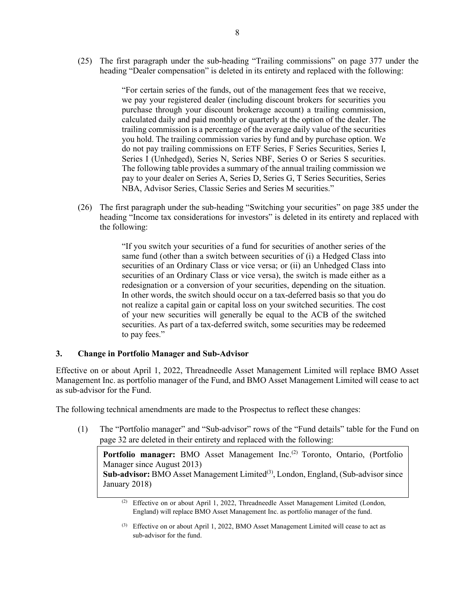(25) The first paragraph under the sub-heading "Trailing commissions" on page 377 under the heading "Dealer compensation" is deleted in its entirety and replaced with the following:

> "For certain series of the funds, out of the management fees that we receive, we pay your registered dealer (including discount brokers for securities you purchase through your discount brokerage account) a trailing commission, calculated daily and paid monthly or quarterly at the option of the dealer. The trailing commission is a percentage of the average daily value of the securities you hold. The trailing commission varies by fund and by purchase option. We do not pay trailing commissions on ETF Series, F Series Securities, Series I, Series I (Unhedged), Series N, Series NBF, Series O or Series S securities. The following table provides a summary of the annual trailing commission we pay to your dealer on Series A, Series D, Series G, T Series Securities, Series NBA, Advisor Series, Classic Series and Series M securities."

(26) The first paragraph under the sub-heading "Switching your securities" on page 385 under the heading "Income tax considerations for investors" is deleted in its entirety and replaced with the following:

> "If you switch your securities of a fund for securities of another series of the same fund (other than a switch between securities of (i) a Hedged Class into securities of an Ordinary Class or vice versa; or (ii) an Unhedged Class into securities of an Ordinary Class or vice versa), the switch is made either as a redesignation or a conversion of your securities, depending on the situation. In other words, the switch should occur on a tax-deferred basis so that you do not realize a capital gain or capital loss on your switched securities. The cost of your new securities will generally be equal to the ACB of the switched securities. As part of a tax-deferred switch, some securities may be redeemed to pay fees."

#### **3. Change in Portfolio Manager and Sub-Advisor**

Effective on or about April 1, 2022, Threadneedle Asset Management Limited will replace BMO Asset Management Inc. as portfolio manager of the Fund, and BMO Asset Management Limited will cease to act as sub-advisor for the Fund.

The following technical amendments are made to the Prospectus to reflect these changes:

(1) The "Portfolio manager" and "Sub-advisor" rows of the "Fund details" table for the Fund on page 32 are deleted in their entirety and replaced with the following:

**Portfolio manager:** BMO Asset Management Inc.<sup>(2)</sup> Toronto, Ontario, (Portfolio Manager since August 2013) Sub-advisor: BMO Asset Management Limited<sup>(3)</sup>, London, England, (Sub-advisor since January 2018)

<sup>(2)</sup> Effective on or about April 1, 2022, Threadneedle Asset Management Limited (London, England) will replace BMO Asset Management Inc. as portfolio manager of the fund.

<sup>(3)</sup> Effective on or about April 1, 2022, BMO Asset Management Limited will cease to act as sub-advisor for the fund.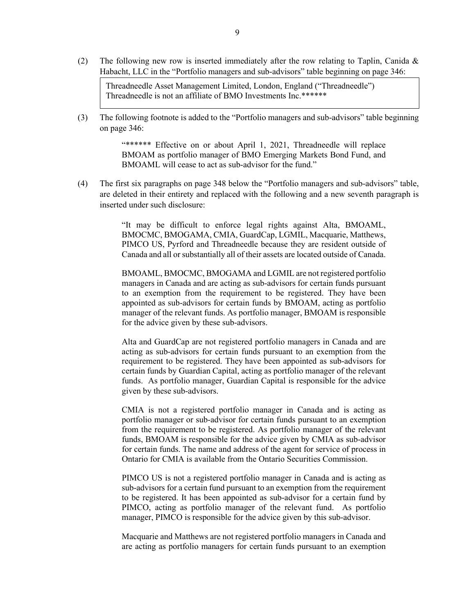(2) The following new row is inserted immediately after the row relating to Taplin, Canida & Habacht, LLC in the "Portfolio managers and sub-advisors" table beginning on page 346:

Threadneedle Asset Management Limited, London, England ("Threadneedle") Threadneedle is not an affiliate of BMO Investments Inc.\*\*\*\*\*\*

(3) The following footnote is added to the "Portfolio managers and sub-advisors" table beginning on page 346:

> "\*\*\*\*\*\* Effective on or about April 1, 2021, Threadneedle will replace BMOAM as portfolio manager of BMO Emerging Markets Bond Fund, and BMOAML will cease to act as sub-advisor for the fund."

(4) The first six paragraphs on page 348 below the "Portfolio managers and sub-advisors" table, are deleted in their entirety and replaced with the following and a new seventh paragraph is inserted under such disclosure:

> "It may be difficult to enforce legal rights against Alta, BMOAML, BMOCMC, BMOGAMA, CMIA, GuardCap, LGMIL, Macquarie, Matthews, PIMCO US, Pyrford and Threadneedle because they are resident outside of Canada and all or substantially all of their assets are located outside of Canada.

> BMOAML, BMOCMC, BMOGAMA and LGMIL are not registered portfolio managers in Canada and are acting as sub-advisors for certain funds pursuant to an exemption from the requirement to be registered. They have been appointed as sub-advisors for certain funds by BMOAM, acting as portfolio manager of the relevant funds. As portfolio manager, BMOAM is responsible for the advice given by these sub-advisors.

> Alta and GuardCap are not registered portfolio managers in Canada and are acting as sub-advisors for certain funds pursuant to an exemption from the requirement to be registered. They have been appointed as sub-advisors for certain funds by Guardian Capital, acting as portfolio manager of the relevant funds. As portfolio manager, Guardian Capital is responsible for the advice given by these sub-advisors.

> CMIA is not a registered portfolio manager in Canada and is acting as portfolio manager or sub-advisor for certain funds pursuant to an exemption from the requirement to be registered. As portfolio manager of the relevant funds, BMOAM is responsible for the advice given by CMIA as sub-advisor for certain funds. The name and address of the agent for service of process in Ontario for CMIA is available from the Ontario Securities Commission.

> PIMCO US is not a registered portfolio manager in Canada and is acting as sub-advisors for a certain fund pursuant to an exemption from the requirement to be registered. It has been appointed as sub-advisor for a certain fund by PIMCO, acting as portfolio manager of the relevant fund. As portfolio manager, PIMCO is responsible for the advice given by this sub-advisor.

> Macquarie and Matthews are not registered portfolio managers in Canada and are acting as portfolio managers for certain funds pursuant to an exemption